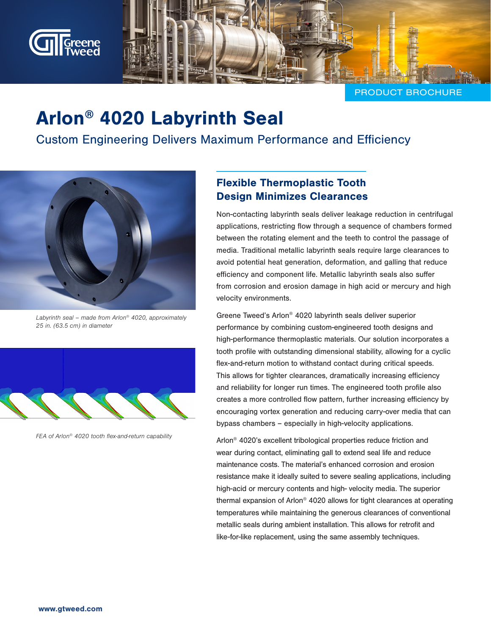

PRODUCT BROCHURE

# Arlon® 4020 Labyrinth Seal

Custom Engineering Delivers Maximum Performance and Efficiency



Labyrinth seal – made from Arlon<sup>®</sup> 4020, approximately 25 in. (63.5 cm) in diameter



FEA of Arlon® 4020 tooth flex-and-return capability

### Flexible Thermoplastic Tooth Design Minimizes Clearances

Non-contacting labyrinth seals deliver leakage reduction in centrifugal applications, restricting flow through a sequence of chambers formed between the rotating element and the teeth to control the passage of media. Traditional metallic labyrinth seals require large clearances to avoid potential heat generation, deformation, and galling that reduce efficiency and component life. Metallic labyrinth seals also suffer from corrosion and erosion damage in high acid or mercury and high velocity environments.

Greene Tweed's Arlon® 4020 labyrinth seals deliver superior performance by combining custom-engineered tooth designs and high-performance thermoplastic materials. Our solution incorporates a tooth profile with outstanding dimensional stability, allowing for a cyclic flex-and-return motion to withstand contact during critical speeds. This allows for tighter clearances, dramatically increasing efficiency and reliability for longer run times. The engineered tooth profile also creates a more controlled flow pattern, further increasing efficiency by encouraging vortex generation and reducing carry-over media that can bypass chambers – especially in high-velocity applications.

Arlon® 4020's excellent tribological properties reduce friction and wear during contact, eliminating gall to extend seal life and reduce maintenance costs. The material's enhanced corrosion and erosion resistance make it ideally suited to severe sealing applications, including high-acid or mercury contents and high- velocity media. The superior thermal expansion of Arlon® 4020 allows for tight clearances at operating temperatures while maintaining the generous clearances of conventional metallic seals during ambient installation. This allows for retrofit and like-for-like replacement, using the same assembly techniques.